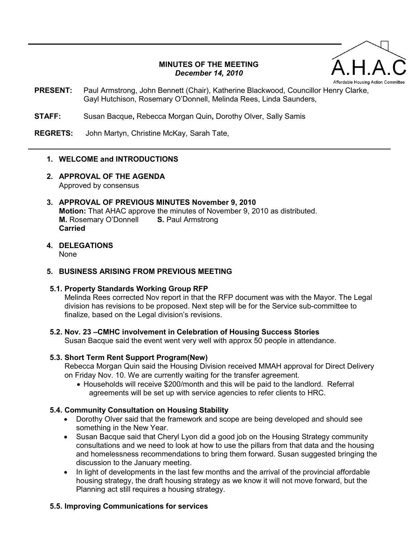### **MINUTES OF THE MEETING**  *December 14, 2010*

ffordable Housing Action Committee

**PRESENT:** Paul Armstrong, John Bennett (Chair), Katherine Blackwood, Councillor Henry Clarke, Gayl Hutchison, Rosemary O'Donnell, Melinda Rees, Linda Saunders,

**STAFF:** Susan Bacque**,** Rebecca Morgan Quin**,** Dorothy Olver, Sally Samis

**REGRETS:** John Martyn, Christine McKay, Sarah Tate,

### **1. WELCOME and INTRODUCTIONS**

- **2. APPROVAL OF THE AGENDA**  Approved by consensus
- **3. APPROVAL OF PREVIOUS MINUTES November 9, 2010 Motion:** That AHAC approve the minutes of November 9, 2010 as distributed. **M.** Rosemary O'Donnell **S.** Paul Armstrong **Carried**
- **4. DELEGATIONS**  None

### **5. BUSINESS ARISING FROM PREVIOUS MEETING**

### **5.1. Property Standards Working Group RFP**

Melinda Rees corrected Nov report in that the RFP document was with the Mayor. The Legal division has revisions to be proposed. Next step will be for the Service sub-committee to finalize, based on the Legal division's revisions.

### **5.2. Nov. 23 –CMHC involvement in Celebration of Housing Success Stories**

Susan Bacque said the event went very well with approx 50 people in attendance.

### **5.3. Short Term Rent Support Program(New)**

Rebecca Morgan Quin said the Housing Division received MMAH approval for Direct Delivery on Friday Nov. 10. We are currently waiting for the transfer agreement.

• Households will receive \$200/month and this will be paid to the landlord. Referral agreements will be set up with service agencies to refer clients to HRC.

### **5.4. Community Consultation on Housing Stability**

- Dorothy Olver said that the framework and scope are being developed and should see something in the New Year.
- Susan Bacque said that Cheryl Lyon did a good job on the Housing Strategy community consultations and we need to look at how to use the pillars from that data and the housing and homelessness recommendations to bring them forward. Susan suggested bringing the discussion to the January meeting.
- In light of developments in the last few months and the arrival of the provincial affordable housing strategy, the draft housing strategy as we know it will not move forward, but the Planning act still requires a housing strategy.

### **5.5. Improving Communications for services**